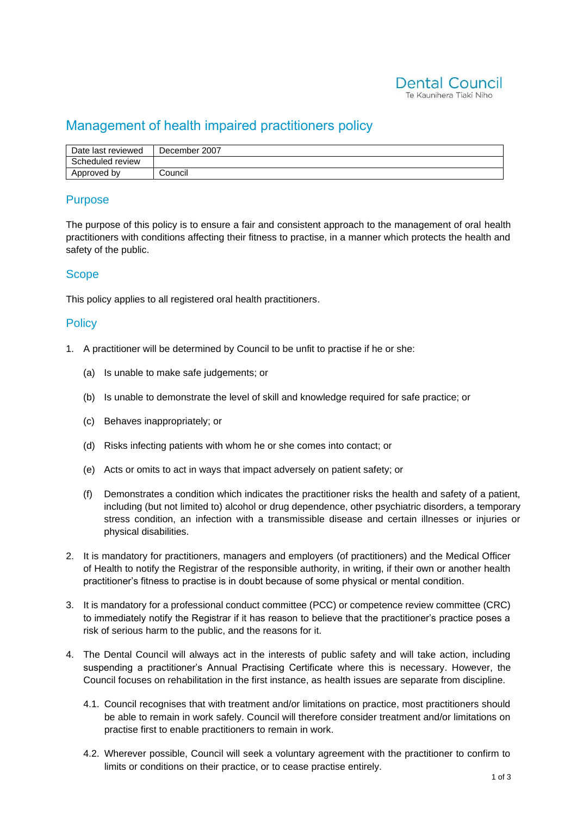

## Management of health impaired practitioners policy

| Date last reviewed | December 2007 |
|--------------------|---------------|
| Scheduled review   |               |
| Approved by        | Council       |

#### **Purpose**

The purpose of this policy is to ensure a fair and consistent approach to the management of oral health practitioners with conditions affecting their fitness to practise, in a manner which protects the health and safety of the public.

#### **Scope**

This policy applies to all registered oral health practitioners.

#### **Policy**

- 1. A practitioner will be determined by Council to be unfit to practise if he or she:
	- (a) Is unable to make safe judgements; or
	- (b) Is unable to demonstrate the level of skill and knowledge required for safe practice; or
	- (c) Behaves inappropriately; or
	- (d) Risks infecting patients with whom he or she comes into contact; or
	- (e) Acts or omits to act in ways that impact adversely on patient safety; or
	- (f) Demonstrates a condition which indicates the practitioner risks the health and safety of a patient, including (but not limited to) alcohol or drug dependence, other psychiatric disorders, a temporary stress condition, an infection with a transmissible disease and certain illnesses or injuries or physical disabilities.
- 2. It is mandatory for practitioners, managers and employers (of practitioners) and the Medical Officer of Health to notify the Registrar of the responsible authority, in writing, if their own or another health practitioner's fitness to practise is in doubt because of some physical or mental condition.
- 3. It is mandatory for a professional conduct committee (PCC) or competence review committee (CRC) to immediately notify the Registrar if it has reason to believe that the practitioner's practice poses a risk of serious harm to the public, and the reasons for it.
- 4. The Dental Council will always act in the interests of public safety and will take action, including suspending a practitioner's Annual Practising Certificate where this is necessary. However, the Council focuses on rehabilitation in the first instance, as health issues are separate from discipline.
	- 4.1. Council recognises that with treatment and/or limitations on practice, most practitioners should be able to remain in work safely. Council will therefore consider treatment and/or limitations on practise first to enable practitioners to remain in work.
	- 4.2. Wherever possible, Council will seek a voluntary agreement with the practitioner to confirm to limits or conditions on their practice, or to cease practise entirely.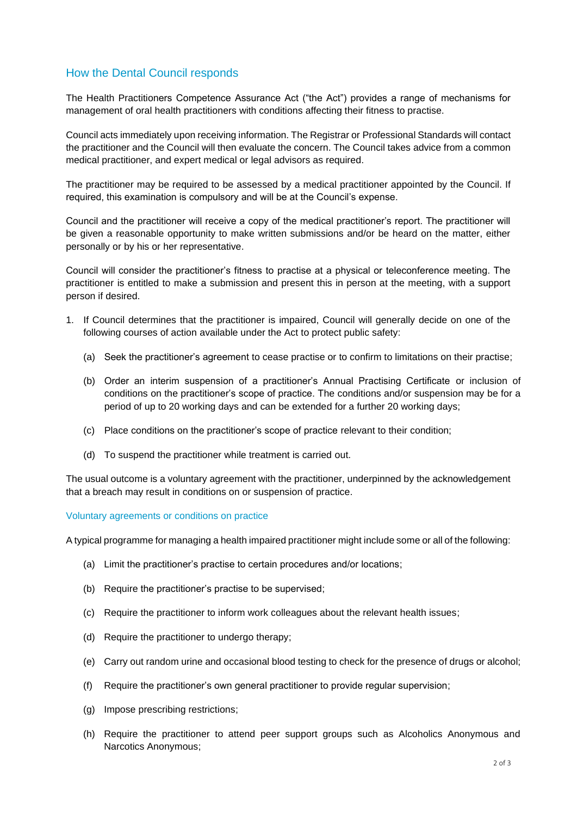### How the Dental Council responds

The Health Practitioners Competence Assurance Act ("the Act") provides a range of mechanisms for management of oral health practitioners with conditions affecting their fitness to practise.

Council acts immediately upon receiving information. The Registrar or Professional Standards will contact the practitioner and the Council will then evaluate the concern. The Council takes advice from a common medical practitioner, and expert medical or legal advisors as required.

The practitioner may be required to be assessed by a medical practitioner appointed by the Council. If required, this examination is compulsory and will be at the Council's expense.

Council and the practitioner will receive a copy of the medical practitioner's report. The practitioner will be given a reasonable opportunity to make written submissions and/or be heard on the matter, either personally or by his or her representative.

Council will consider the practitioner's fitness to practise at a physical or teleconference meeting. The practitioner is entitled to make a submission and present this in person at the meeting, with a support person if desired.

- 1. If Council determines that the practitioner is impaired, Council will generally decide on one of the following courses of action available under the Act to protect public safety:
	- (a) Seek the practitioner's agreement to cease practise or to confirm to limitations on their practise;
	- (b) Order an interim suspension of a practitioner's Annual Practising Certificate or inclusion of conditions on the practitioner's scope of practice. The conditions and/or suspension may be for a period of up to 20 working days and can be extended for a further 20 working days;
	- (c) Place conditions on the practitioner's scope of practice relevant to their condition;
	- (d) To suspend the practitioner while treatment is carried out.

The usual outcome is a voluntary agreement with the practitioner, underpinned by the acknowledgement that a breach may result in conditions on or suspension of practice.

Voluntary agreements or conditions on practice

A typical programme for managing a health impaired practitioner might include some or all of the following:

- (a) Limit the practitioner's practise to certain procedures and/or locations;
- (b) Require the practitioner's practise to be supervised;
- (c) Require the practitioner to inform work colleagues about the relevant health issues;
- (d) Require the practitioner to undergo therapy;
- (e) Carry out random urine and occasional blood testing to check for the presence of drugs or alcohol;
- (f) Require the practitioner's own general practitioner to provide regular supervision;
- (g) Impose prescribing restrictions;
- (h) Require the practitioner to attend peer support groups such as Alcoholics Anonymous and Narcotics Anonymous;